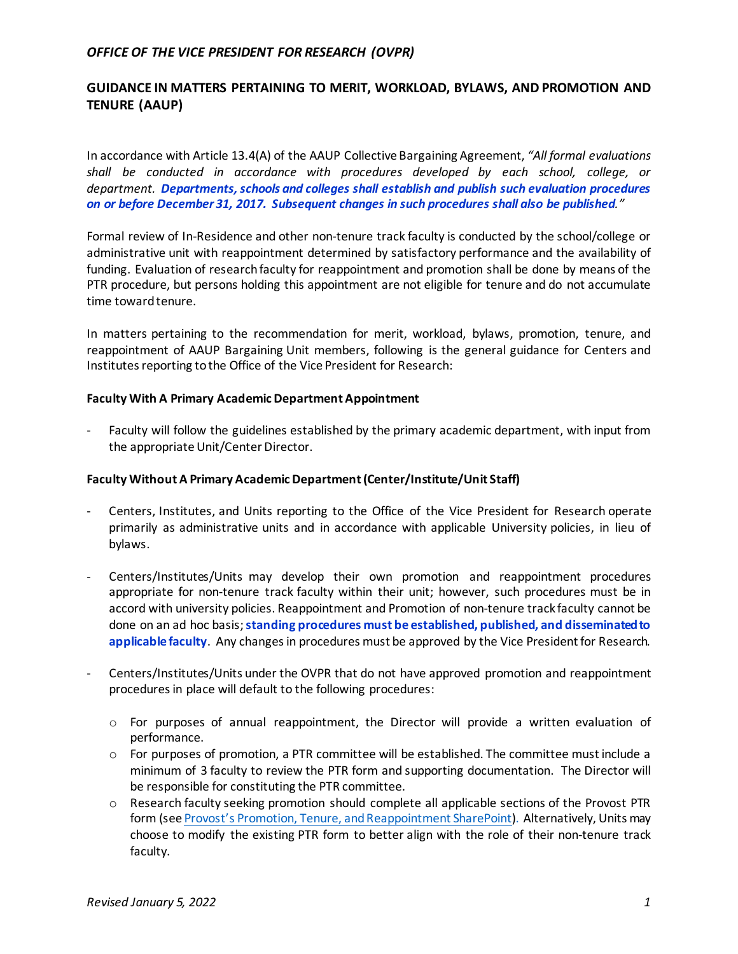## *OFFICE OF THE VICE PRESIDENT FOR RESEARCH (OVPR)*

# **GUIDANCE IN MATTERS PERTAINING TO MERIT, WORKLOAD, BYLAWS, AND PROMOTION AND TENURE (AAUP)**

In accordance with Article 13.4(A) of the AAUP Collective Bargaining Agreement, *"All formal evaluations shall be conducted in accordance with procedures developed by each school, college, or department. Departments, schools and colleges shall establish and publish such evaluation procedures on or before December 31, 2017. Subsequent changes in such procedures shall also be published."*

Formal review of In-Residence and other non-tenure track faculty is conducted by the school/college or administrative unit with reappointment determined by satisfactory performance and the availability of funding. Evaluation of research faculty for reappointment and promotion shall be done by means of the PTR procedure, but persons holding this appointment are not eligible for tenure and do not accumulate time toward tenure.

In matters pertaining to the recommendation for merit, workload, bylaws, promotion, tenure, and reappointment of AAUP Bargaining Unit members, following is the general guidance for Centers and Institutes reporting to the Office of the Vice President for Research:

#### **Faculty With A Primary Academic Department Appointment**

Faculty will follow the guidelines established by the primary academic department, with input from the appropriate Unit/Center Director.

### **Faculty Without A Primary Academic Department(Center/Institute/Unit Staff)**

- Centers, Institutes, and Units reporting to the Office of the Vice President for Research operate primarily as administrative units and in accordance with applicable University policies, in lieu of bylaws.
- Centers/Institutes/Units may develop their own promotion and reappointment procedures appropriate for non-tenure track faculty within their unit; however, such procedures must be in accord with university policies. Reappointment and Promotion of non-tenure track faculty cannot be done on an ad hoc basis; **standing procedures must be established, published, and disseminated to applicable faculty**. Any changes in procedures must be approved by the Vice President for Research.
- Centers/Institutes/Units under the OVPR that do not have approved promotion and reappointment procedures in place will default to the following procedures:
	- o For purposes of annual reappointment, the Director will provide a written evaluation of performance.
	- $\circ$  For purposes of promotion, a PTR committee will be established. The committee must include a minimum of 3 faculty to review the PTR form and supporting documentation. The Director will be responsible for constituting the PTR committee.
	- o Research faculty seeking promotion should complete all applicable sections of the Provost PTR form (se[e Provost's Promotion, Tenure, and Reappointment SharePoint\)](https://provost.uconn.edu/faculty-and-staff-resources/promotion-tenure-reappointment/). Alternatively, Units may choose to modify the existing PTR form to better align with the role of their non-tenure track faculty.